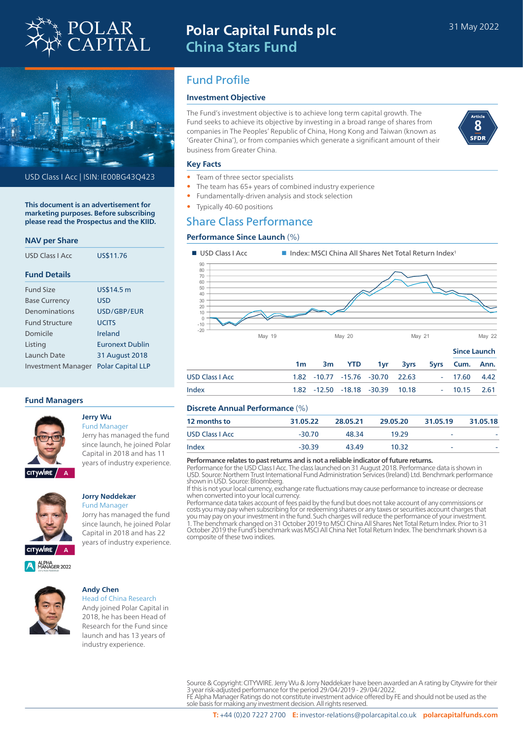

# **Polar Capital Funds plc China Stars Fund**



USD Class I Acc | ISIN: IE00BG43Q423

**This document is an advertisement for marketing purposes. Before subscribing please read the Prospectus and the KIID.**

#### **NAV per Share**

| USD Class LAcc            | US\$11.76                |
|---------------------------|--------------------------|
| <b>Fund Details</b>       |                          |
| <b>Fund Size</b>          | US\$14.5 m               |
| <b>Base Currency</b>      | USD                      |
| Denominations             | USD/GBP/FUR              |
| <b>Fund Structure</b>     | <b>UCITS</b>             |
| Domicile                  | Ireland                  |
| Listing                   | <b>Furonext Dublin</b>   |
| Launch Date               | 31 August 2018           |
| <b>Investment Manager</b> | <b>Polar Capital LLP</b> |

#### **Fund Managers**



#### **Jerry Wu** Fund Manager

Jerry has managed the fund since launch, he joined Polar Capital in 2018 and has 11 years of industry experience.



#### **Jorry Nøddekær** Fund Manager

Jorry has managed the fund since launch, he joined Polar Capital in 2018 and has 22 years of industry experience.

## Fund Profile

#### **Investment Objective**

The Fund's investment objective is to achieve long term capital growth. The Fund seeks to achieve its objective by investing in a broad range of shares from companies in The Peoples' Republic of China, Hong Kong and Taiwan (known as 'Greater China'), or from companies which generate a significant amount of their business from Greater China.



#### **Key Facts**

- Team of three sector specialists
- The team has 65+ years of combined industry experience
- Fundamentally-driven analysis and stock selection
- Typically 40-60 positions

## Share Class Performance

#### **Performance Since Launch** (%)



#### **Discrete Annual Performance** (%)

| <u>Piscrete Annual Feriormance (70)</u> |          |          |          |          |          |
|-----------------------------------------|----------|----------|----------|----------|----------|
| 12 months to                            | 31.05.22 | 28.05.21 | 29.05.20 | 31.05.19 | 31.05.18 |
| <b>USD Class I Acc.</b>                 | $-30.70$ | 48.34    | 19.29    | -        |          |
| Index                                   | $-30.39$ | 43.49    | 10.32    | ۰        |          |
|                                         |          |          |          |          |          |

Index 1.82 -12.50 -18.18 -30.39 10.18 - 10.15 2.61

**Performance relates to past returns and is not a reliable indicator of future returns.**

Performance for the USD Class I Acc. The class launched on 31 August 2018. Performance data is shown in USD. Source: Northern Trust International Fund Administration Services (Ireland) Ltd. Benchmark performance shown in USD. Source: Bloomberg.

If this is not your local currency, exchange rate fluctuations may cause performance to increase or decrease when converted into your local currency.

Performance data takes account of fees paid by the fund but does not take account of any commissions or costs you may pay when subscribing for or redeeming shares or any taxes or securities account charges that you may pay on your investment in the fund. Such charges will reduce the performance of your investment. 1. The benchmark changed on 31 October 2019 to MSCI China All Shares Net Total Return Index. Prior to 31 October 2019 the Fund's benchmark was MSCI All China Net Total Return Index. The benchmark shown is a composite of these two indices.



#### **Andy Chen**

Head of China Research Andy joined Polar Capital in 2018, he has been Head of Research for the Fund since launch and has 13 years of industry experience.

> Source & Copyright: CITYWIRE. Jerry Wu & Jorry Nøddekær have been awarded an A rating by Citywire for their 3 year risk-adjusted performance for the period 29/04/2019 - 29/04/2022.<br>FE Alpha Manager Ratings do not constitute investment advice offered by FE and should not be used as the<br>sole basis for making any investment decisio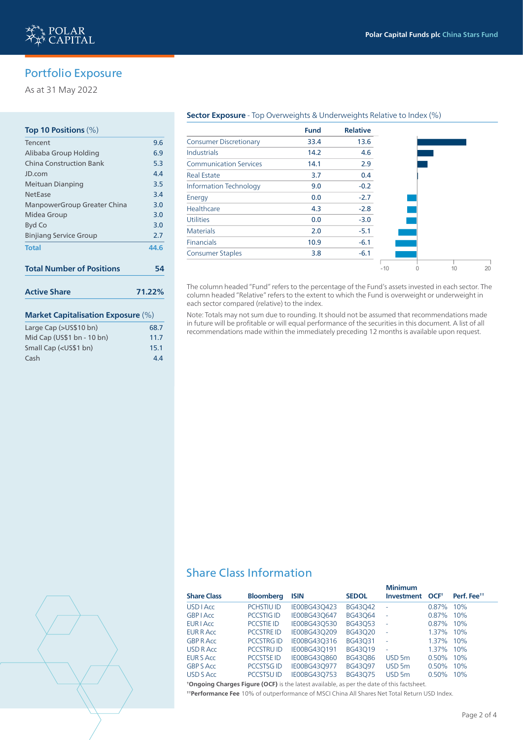

## Portfolio Exposure

As at 31 May 2022

#### **Top 10 Positions** (%)

| <b>Market Capitalisation Exposure (%)</b> |        |
|-------------------------------------------|--------|
| <b>Active Share</b>                       | 71.22% |
| <b>Total Number of Positions</b>          | 54     |
| <b>Total</b>                              | 44.6   |
| <b>Binjiang Service Group</b>             | 2.7    |
| Byd Co                                    | 3.0    |
| Midea Group                               | 3.0    |
| ManpowerGroup Greater China               | 3.0    |
| NetEase                                   | 3.4    |
| Meituan Dianping                          | 3.5    |
| JD.com                                    | 4.4    |
| China Construction Bank                   | 5.3    |
| Alibaba Group Holding                     | 6.9    |
| Tencent                                   | 9.6    |

### Large Cap (>US\$10 bn) 68.7 Mid Cap (US\$1 bn - 10 bn) 11.7 Small Cap (<US\$1 bn) 15.1 Cash 4.4

#### **Sector Exposure** - Top Overweights & Underweights Relative to Index (%)

|                               | <b>Fund</b> | <b>Relative</b> |       |    |    |
|-------------------------------|-------------|-----------------|-------|----|----|
| <b>Consumer Discretionary</b> | 33.4        | 13.6            |       |    |    |
| <b>Industrials</b>            | 14.2        | 4.6             |       |    |    |
| <b>Communication Services</b> | 14.1        | 2.9             |       |    |    |
| <b>Real Estate</b>            | 3.7         | 0.4             |       |    |    |
| <b>Information Technology</b> | 9.0         | $-0.2$          |       |    |    |
| Energy                        | 0.0         | $-2.7$          |       |    |    |
| Healthcare                    | 4.3         | $-2.8$          |       |    |    |
| <b>Utilities</b>              | 0.0         | $-3.0$          |       |    |    |
| <b>Materials</b>              | 2.0         | $-5.1$          |       |    |    |
| <b>Financials</b>             | 10.9        | $-6.1$          |       |    |    |
| <b>Consumer Staples</b>       | 3.8         | $-6.1$          |       |    |    |
|                               |             |                 | $-10$ | 10 | 20 |

The column headed "Fund" refers to the percentage of the Fund's assets invested in each sector. The column headed "Relative" refers to the extent to which the Fund is overweight or underweight in each sector compared (relative) to the index.

Note: Totals may not sum due to rounding. It should not be assumed that recommendations made in future will be profitable or will equal performance of the securities in this document. A list of all recommendations made within the immediately preceding 12 months is available upon request.

## Share Class Information

|                    |                   |              |              | <b>Minimum</b>           |                  |                         |  |
|--------------------|-------------------|--------------|--------------|--------------------------|------------------|-------------------------|--|
| <b>Share Class</b> | <b>Bloomberg</b>  | <b>ISIN</b>  | <b>SEDOL</b> | Investment               | OCF <sup>+</sup> | Perf. Fee <sup>tt</sup> |  |
| <b>USD LACC</b>    | <b>PCHSTIU ID</b> | IE00BG43O423 | BG43042      | $\overline{a}$           | $0.87\%$         | 10%                     |  |
| <b>GBP</b> LAcc    | <b>PCCSTIG ID</b> | IE00BG430647 | BG43064      | $\overline{\phantom{a}}$ | $0.87\%$         | 10%                     |  |
| <b>EUR I Acc</b>   | <b>PCCSTIE ID</b> | IE00BG43O530 | BG43053      | $\overline{a}$           | $0.87\%$         | 10%                     |  |
| EUR R Acc          | <b>PCCSTRE ID</b> | IE00BG43O209 | BG43020      | $\overline{a}$           | $1.37\%$         | 10%                     |  |
| <b>GBP R Acc.</b>  | <b>PCCSTRG ID</b> | IE00BG43O316 | BG43031      | $\overline{\phantom{a}}$ | $1.37\%$         | 10%                     |  |
| USD R Acc          | <b>PCCSTRUID</b>  | IE00BG43O191 | BG43019      | ÷                        | $1.37\%$         | $10\%$                  |  |
| <b>EUR S Acc</b>   | <b>PCCSTSE ID</b> | IE00BG43O860 | BG43086      | USD <sub>5m</sub>        | $0.50\%$         | 10%                     |  |
| <b>GBP S Acc</b>   | <b>PCCSTSGID</b>  | IE00BG43O977 | BG43097      | USD <sub>5m</sub>        | $0.50\%$         | 10%                     |  |
| USD S Acc          | <b>PCCSTSUID</b>  | IE00BG43O753 | BG43075      | USD <sub>5m</sub>        | 0.50%            | 10%                     |  |
|                    |                   |              |              |                          |                  |                         |  |

**† Ongoing Charges Figure (OCF)** is the latest available, as per the date of this factsheet. **† † Performance Fee** 10% of outperformance of MSCI China All Shares Net Total Return USD Index.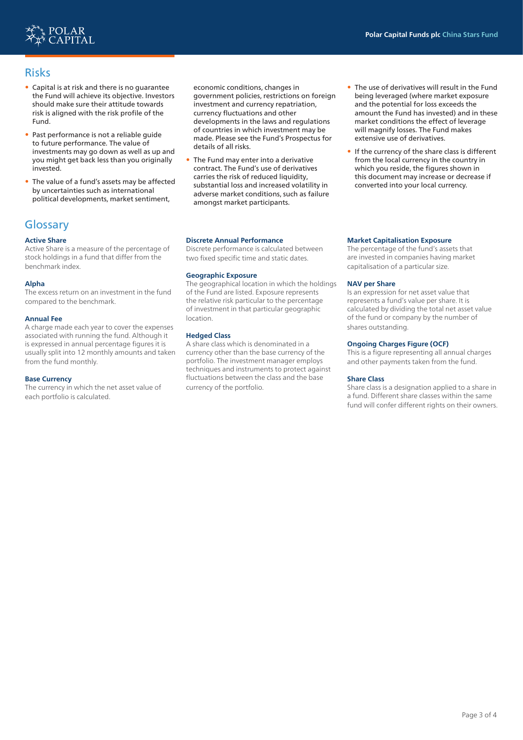

## Risks

- Capital is at risk and there is no guarantee the Fund will achieve its objective. Investors should make sure their attitude towards risk is aligned with the risk profile of the Fund.
- Past performance is not a reliable guide to future performance. The value of investments may go down as well as up and you might get back less than you originally invested.
- The value of a fund's assets may be affected by uncertainties such as international political developments, market sentiment,

## **Glossary**

#### **Active Share**

Active Share is a measure of the percentage of stock holdings in a fund that differ from the benchmark index.

#### **Alpha**

The excess return on an investment in the fund compared to the benchmark.

#### **Annual Fee**

A charge made each year to cover the expenses associated with running the fund. Although it is expressed in annual percentage figures it is usually split into 12 monthly amounts and taken from the fund monthly.

#### **Base Currency**

The currency in which the net asset value of each portfolio is calculated.

economic conditions, changes in government policies, restrictions on foreign investment and currency repatriation, currency fluctuations and other developments in the laws and regulations of countries in which investment may be made. Please see the Fund's Prospectus for details of all risks.

• The Fund may enter into a derivative contract. The Fund's use of derivatives carries the risk of reduced liquidity, substantial loss and increased volatility in adverse market conditions, such as failure amongst market participants.

#### **Discrete Annual Performance**

Discrete performance is calculated between two fixed specific time and static dates.

#### **Geographic Exposure**

The geographical location in which the holdings of the Fund are listed. Exposure represents the relative risk particular to the percentage of investment in that particular geographic location.

#### **Hedged Class**

A share class which is denominated in a currency other than the base currency of the portfolio. The investment manager employs techniques and instruments to protect against fluctuations between the class and the base currency of the portfolio.

- The use of derivatives will result in the Fund being leveraged (where market exposure and the potential for loss exceeds the amount the Fund has invested) and in these market conditions the effect of leverage will magnify losses. The Fund makes extensive use of derivatives.
- If the currency of the share class is different from the local currency in the country in which you reside, the figures shown in this document may increase or decrease if converted into your local currency.

#### **Market Capitalisation Exposure**

The percentage of the fund's assets that are invested in companies having market capitalisation of a particular size.

#### **NAV per Share**

Is an expression for net asset value that represents a fund's value per share. It is calculated by dividing the total net asset value of the fund or company by the number of shares outstanding.

#### **Ongoing Charges Figure (OCF)**

This is a figure representing all annual charges and other payments taken from the fund.

#### **Share Class**

Share class is a designation applied to a share in a fund. Different share classes within the same fund will confer different rights on their owners.